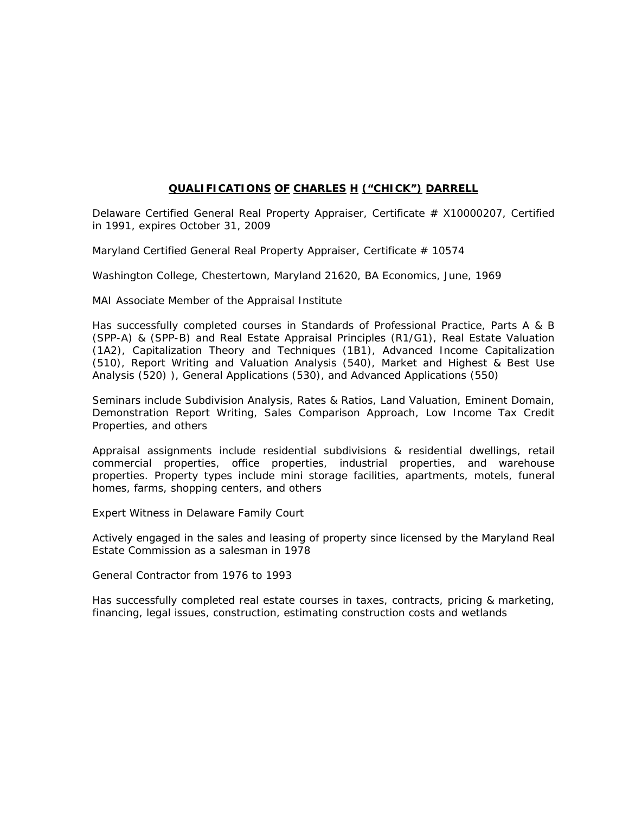## **QUALIFICATIONS OF CHARLES H ("CHICK") DARRELL**

Delaware Certified General Real Property Appraiser, Certificate  $#$  X10000207, Certified in 1991, expires October 31, 2009

Maryland Certified General Real Property Appraiser, Certificate # 10574

Washington College, Chestertown, Maryland 21620, BA Economics, June, 1969

MAI Associate Member of the Appraisal Institute

Has successfully completed courses in Standards of Professional Practice, Parts A & B (SPP-A) & (SPP-B) and Real Estate Appraisal Principles (R1/G1), Real Estate Valuation (1A2), Capitalization Theory and Techniques (1B1), Advanced Income Capitalization (510), Report Writing and Valuation Analysis (540), Market and Highest & Best Use Analysis (520) ), General Applications (530), and Advanced Applications (550)

Seminars include Subdivision Analysis, Rates & Ratios, Land Valuation, Eminent Domain, Demonstration Report Writing, Sales Comparison Approach, Low Income Tax Credit Properties, and others

Appraisal assignments include residential subdivisions & residential dwellings, retail commercial properties, office properties, industrial properties, and warehouse properties. Property types include mini storage facilities, apartments, motels, funeral homes, farms, shopping centers, and others

Expert Witness in Delaware Family Court

Actively engaged in the sales and leasing of property since licensed by the Maryland Real Estate Commission as a salesman in 1978

General Contractor from 1976 to 1993

Has successfully completed real estate courses in taxes, contracts, pricing & marketing, financing, legal issues, construction, estimating construction costs and wetlands